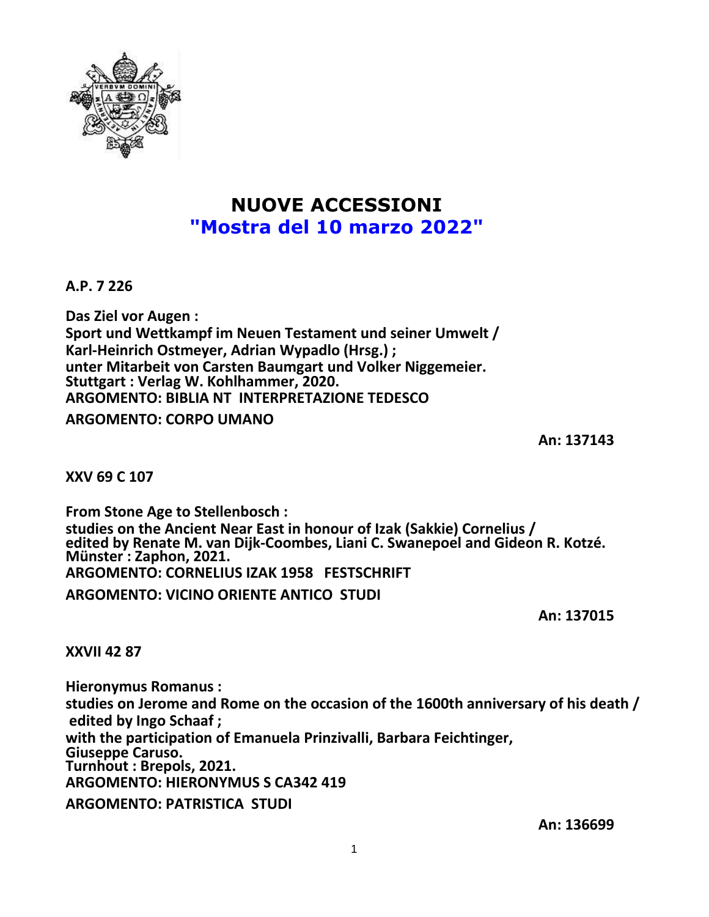

# **NUOVE ACCESSIONI "Mostra del 10 marzo 2022"**

**A.P. 7 226**

**Das Ziel vor Augen : Sport und Wettkampf im Neuen Testament und seiner Umwelt / Karl-Heinrich Ostmeyer, Adrian Wypadlo (Hrsg.) ; unter Mitarbeit von Carsten Baumgart und Volker Niggemeier. Stuttgart : Verlag W. Kohlhammer, 2020. ARGOMENTO: BIBLIA NT INTERPRETAZIONE TEDESCO**

**ARGOMENTO: CORPO UMANO**

**An: 137143**

**XXV 69 C 107**

**From Stone Age to Stellenbosch : studies on the Ancient Near East in honour of Izak (Sakkie) Cornelius / edited by Renate M. van Dijk-Coombes, Liani C. Swanepoel and Gideon R. Kotzé. Münster : Zaphon, 2021. ARGOMENTO: CORNELIUS IZAK 1958 FESTSCHRIFT ARGOMENTO: VICINO ORIENTE ANTICO STUDI**

**An: 137015**

**XXVII 42 87**

**Hieronymus Romanus : studies on Jerome and Rome on the occasion of the 1600th anniversary of his death / edited by Ingo Schaaf ; with the participation of Emanuela Prinzivalli, Barbara Feichtinger, Giuseppe Caruso. Turnhout : Brepols, 2021. ARGOMENTO: HIERONYMUS S CA342 419 ARGOMENTO: PATRISTICA STUDI**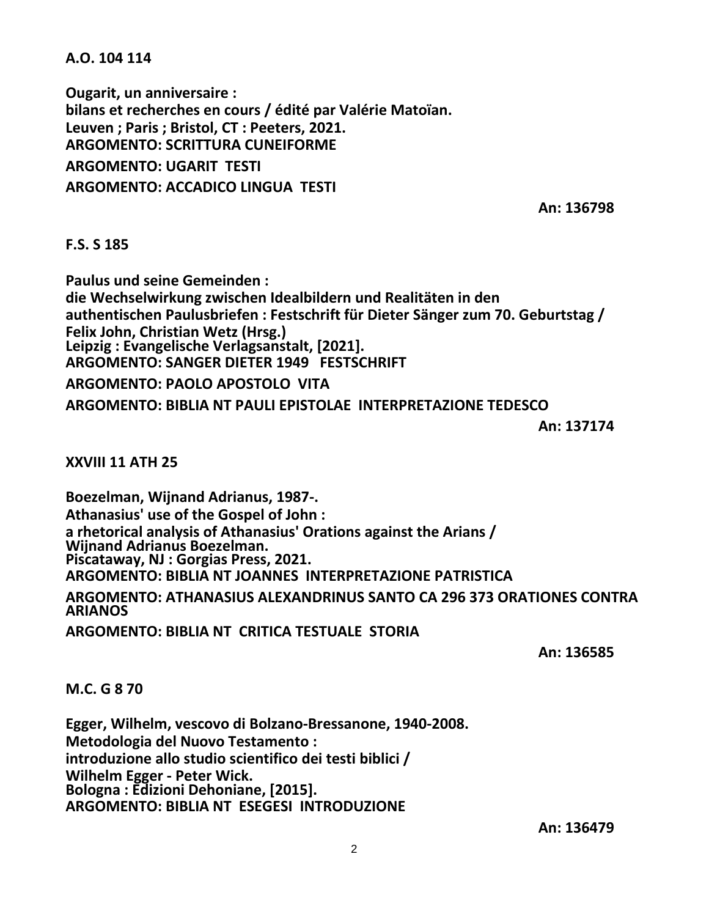**A.O. 104 114**

**Ougarit, un anniversaire : bilans et recherches en cours / édité par Valérie Matoïan. Leuven ; Paris ; Bristol, CT : Peeters, 2021. ARGOMENTO: SCRITTURA CUNEIFORME ARGOMENTO: UGARIT TESTI ARGOMENTO: ACCADICO LINGUA TESTI**

**An: 136798**

#### **F.S. S 185**

**Paulus und seine Gemeinden : die Wechselwirkung zwischen Idealbildern und Realitäten in den authentischen Paulusbriefen : Festschrift für Dieter Sänger zum 70. Geburtstag / Felix John, Christian Wetz (Hrsg.) Leipzig : Evangelische Verlagsanstalt, [2021]. ARGOMENTO: SANGER DIETER 1949 FESTSCHRIFT ARGOMENTO: PAOLO APOSTOLO VITA ARGOMENTO: BIBLIA NT PAULI EPISTOLAE INTERPRETAZIONE TEDESCO**

**An: 137174**

**XXVIII 11 ATH 25**

**Boezelman, Wijnand Adrianus, 1987-. Athanasius' use of the Gospel of John : a rhetorical analysis of Athanasius' Orations against the Arians / Wijnand Adrianus Boezelman. Piscataway, NJ : Gorgias Press, 2021. ARGOMENTO: BIBLIA NT JOANNES INTERPRETAZIONE PATRISTICA**

**ARGOMENTO: ATHANASIUS ALEXANDRINUS SANTO CA 296 373 ORATIONES CONTRA ARIANOS**

**ARGOMENTO: BIBLIA NT CRITICA TESTUALE STORIA**

**An: 136585**

## **M.C. G 8 70**

**Egger, Wilhelm, vescovo di Bolzano-Bressanone, 1940-2008. Metodologia del Nuovo Testamento : introduzione allo studio scientifico dei testi biblici / Wilhelm Egger - Peter Wick. Bologna : Edizioni Dehoniane, [2015]. ARGOMENTO: BIBLIA NT ESEGESI INTRODUZIONE**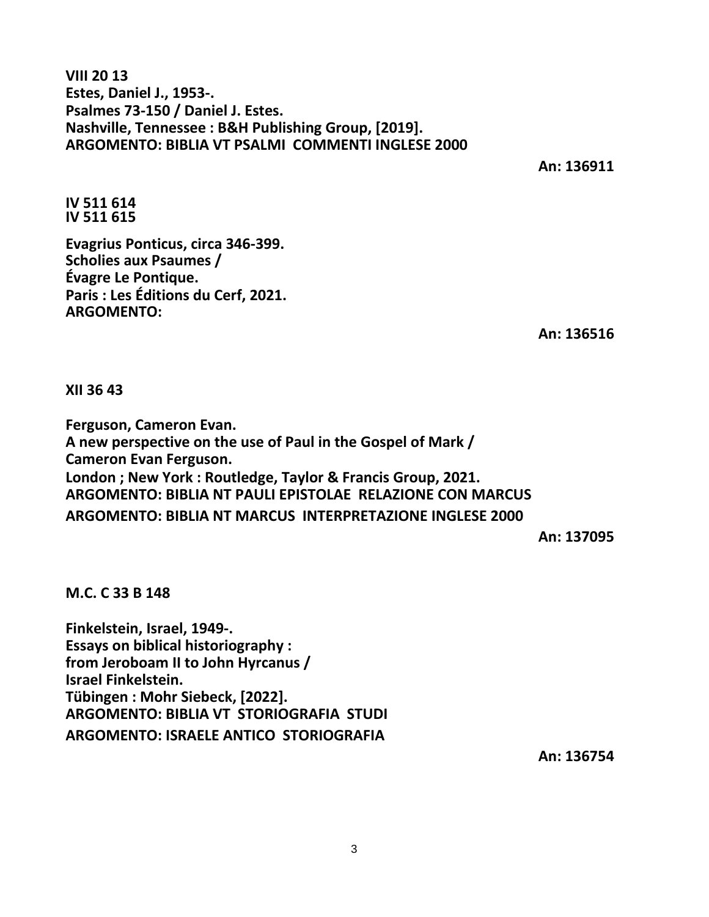**VIII 20 13 Estes, Daniel J., 1953-. Psalmes 73-150 / Daniel J. Estes. Nashville, Tennessee : B&H Publishing Group, [2019]. ARGOMENTO: BIBLIA VT PSALMI COMMENTI INGLESE 2000**

**An: 136911**

**IV 511 614 IV 511 615**

**Evagrius Ponticus, circa 346-399. Scholies aux Psaumes / Évagre Le Pontique. Paris : Les Éditions du Cerf, 2021. ARGOMENTO:**

**An: 136516**

**XII 36 43**

**Ferguson, Cameron Evan. A new perspective on the use of Paul in the Gospel of Mark / Cameron Evan Ferguson. London ; New York : Routledge, Taylor & Francis Group, 2021. ARGOMENTO: BIBLIA NT PAULI EPISTOLAE RELAZIONE CON MARCUS ARGOMENTO: BIBLIA NT MARCUS INTERPRETAZIONE INGLESE 2000**

**An: 137095**

**M.C. C 33 B 148**

**Finkelstein, Israel, 1949-. Essays on biblical historiography : from Jeroboam II to John Hyrcanus / Israel Finkelstein. Tübingen : Mohr Siebeck, [2022]. ARGOMENTO: BIBLIA VT STORIOGRAFIA STUDI ARGOMENTO: ISRAELE ANTICO STORIOGRAFIA**

**An: 136754**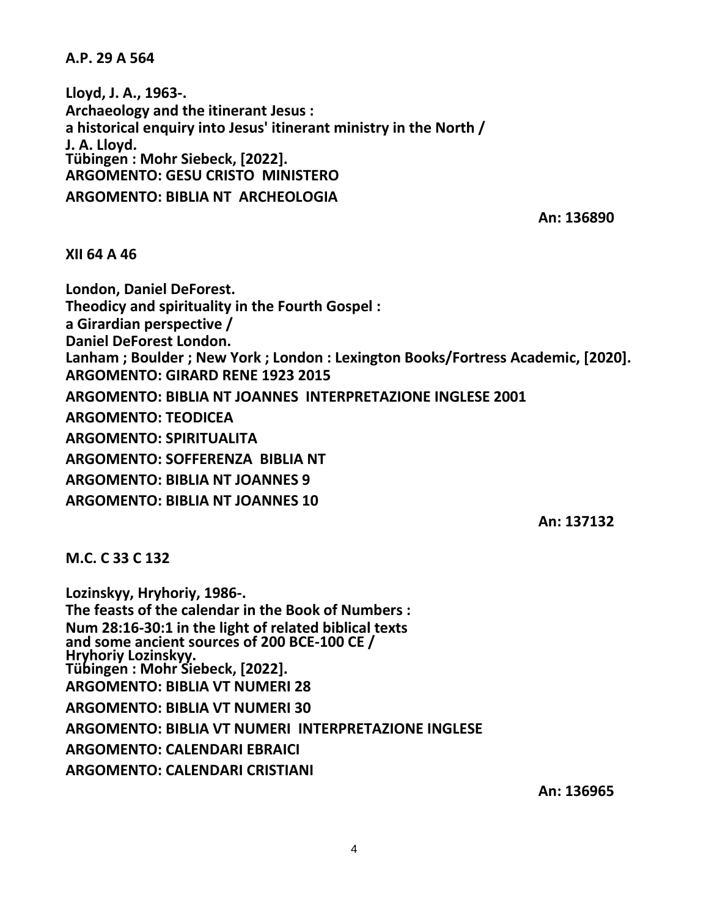**A.P. 29 A 564**

**Lloyd, J. A., 1963-. Archaeology and the itinerant Jesus : a historical enquiry into Jesus' itinerant ministry in the North / J. A. Lloyd. Tübingen : Mohr Siebeck, [2022]. ARGOMENTO: GESU CRISTO MINISTERO ARGOMENTO: BIBLIA NT ARCHEOLOGIA**

**An: 136890**

**XII 64 A 46**

**London, Daniel DeForest. Theodicy and spirituality in the Fourth Gospel : a Girardian perspective / Daniel DeForest London. Lanham ; Boulder ; New York ; London : Lexington Books/Fortress Academic, [2020]. ARGOMENTO: GIRARD RENE 1923 2015 ARGOMENTO: BIBLIA NT JOANNES INTERPRETAZIONE INGLESE 2001 ARGOMENTO: TEODICEA ARGOMENTO: SPIRITUALITA ARGOMENTO: SOFFERENZA BIBLIA NT ARGOMENTO: BIBLIA NT JOANNES 9 ARGOMENTO: BIBLIA NT JOANNES 10**

**An: 137132**

**M.C. C 33 C 132**

**Lozinskyy, Hryhoriy, 1986-. The feasts of the calendar in the Book of Numbers : Num 28:16-30:1 in the light of related biblical texts and some ancient sources of 200 BCE-100 CE / Hryhoriy Lozinskyy. Tübingen : Mohr Siebeck, [2022]. ARGOMENTO: BIBLIA VT NUMERI 28 ARGOMENTO: BIBLIA VT NUMERI 30 ARGOMENTO: BIBLIA VT NUMERI INTERPRETAZIONE INGLESE ARGOMENTO: CALENDARI EBRAICI ARGOMENTO: CALENDARI CRISTIANI**

**An: 136965**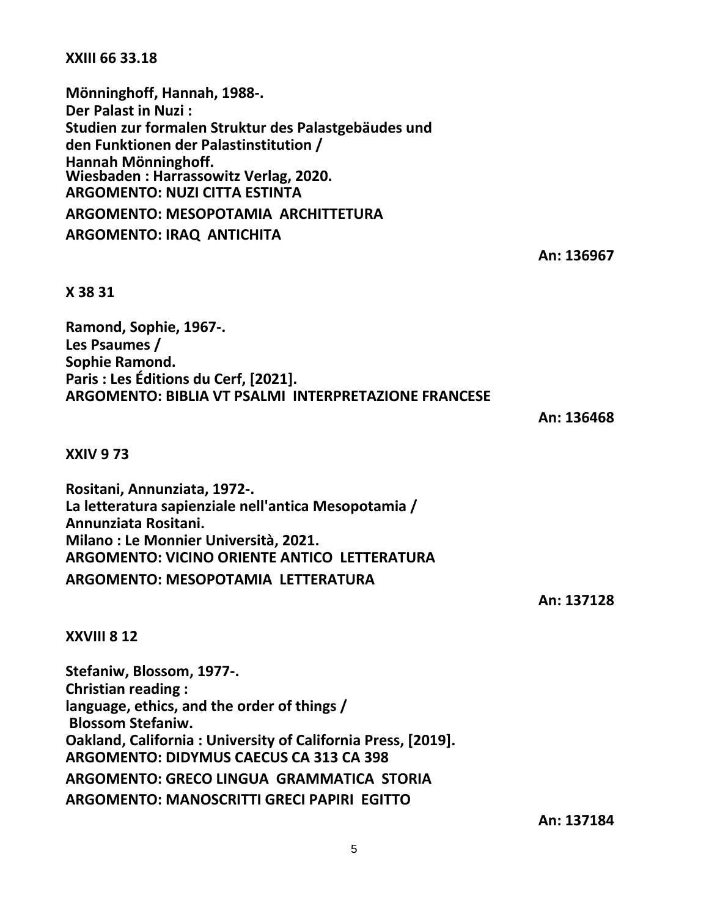### **XXIII 66 33.18**

**Mönninghoff, Hannah, 1988-. Der Palast in Nuzi : Studien zur formalen Struktur des Palastgebäudes und den Funktionen der Palastinstitution / Hannah Mönninghoff. Wiesbaden : Harrassowitz Verlag, 2020. ARGOMENTO: NUZI CITTA ESTINTA ARGOMENTO: MESOPOTAMIA ARCHITTETURA ARGOMENTO: IRAQ ANTICHITA**

**An: 136967**

## **X 38 31**

**Ramond, Sophie, 1967-. Les Psaumes / Sophie Ramond. Paris : Les Éditions du Cerf, [2021]. ARGOMENTO: BIBLIA VT PSALMI INTERPRETAZIONE FRANCESE**

**An: 136468**

**XXIV 9 73**

**Rositani, Annunziata, 1972-. La letteratura sapienziale nell'antica Mesopotamia / Annunziata Rositani. Milano : Le Monnier Università, 2021. ARGOMENTO: VICINO ORIENTE ANTICO LETTERATURA ARGOMENTO: MESOPOTAMIA LETTERATURA**

**An: 137128**

## **XXVIII 8 12**

**Stefaniw, Blossom, 1977-. Christian reading : language, ethics, and the order of things / Blossom Stefaniw. Oakland, California : University of California Press, [2019]. ARGOMENTO: DIDYMUS CAECUS CA 313 CA 398 ARGOMENTO: GRECO LINGUA GRAMMATICA STORIA ARGOMENTO: MANOSCRITTI GRECI PAPIRI EGITTO**